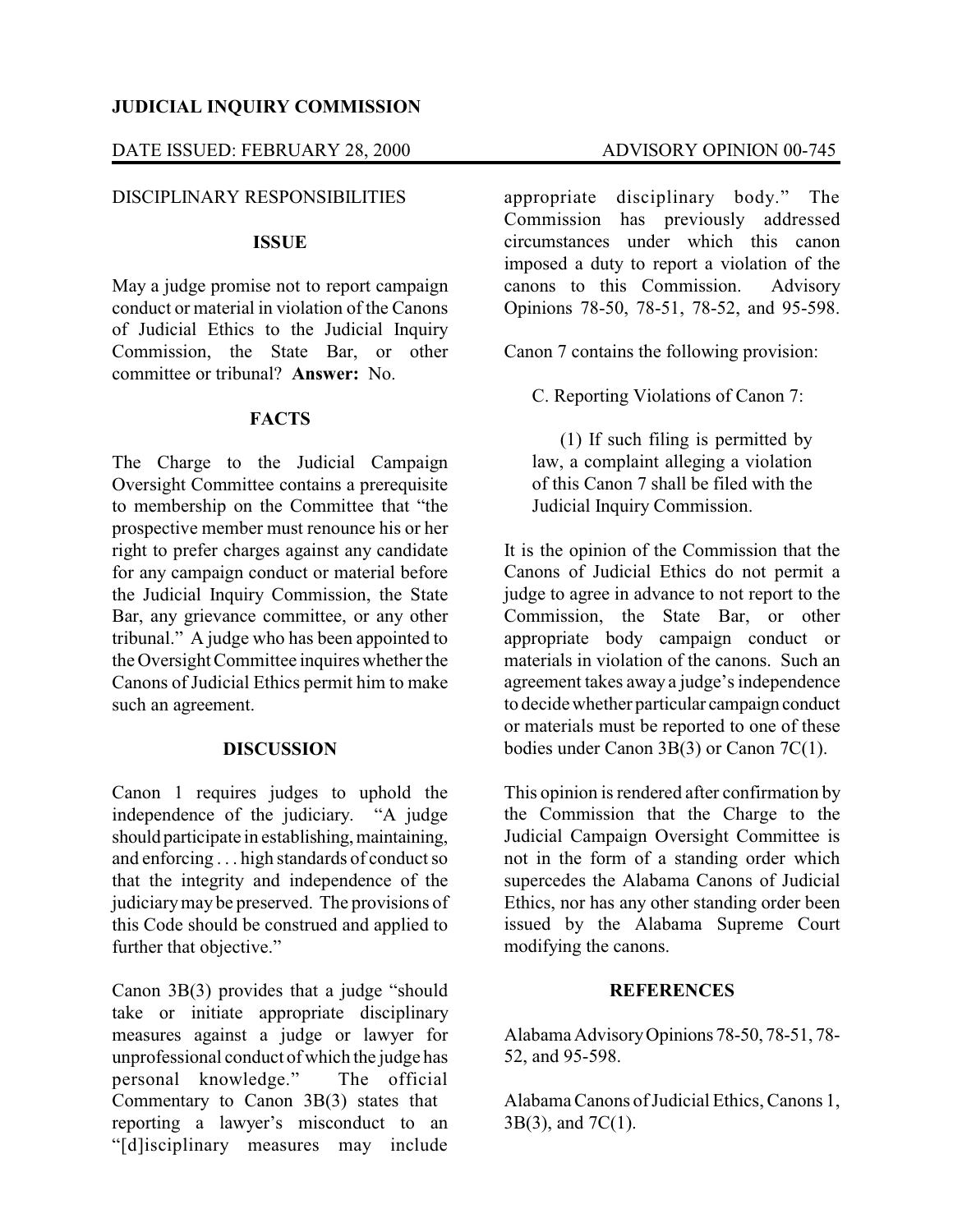# **JUDICIAL INQUIRY COMMISSION**

## DATE ISSUED: FEBRUARY 28, 2000 ADVISORY OPINION 00-745

### DISCIPLINARY RESPONSIBILITIES

## **ISSUE**

May a judge promise not to report campaign conduct or material in violation of the Canons of Judicial Ethics to the Judicial Inquiry Commission, the State Bar, or other committee or tribunal? **Answer:** No.

#### **FACTS**

The Charge to the Judicial Campaign Oversight Committee contains a prerequisite to membership on the Committee that "the prospective member must renounce his or her right to prefer charges against any candidate for any campaign conduct or material before the Judicial Inquiry Commission, the State Bar, any grievance committee, or any other tribunal." A judge who has been appointed to the Oversight Committee inquires whether the Canons of Judicial Ethics permit him to make such an agreement.

#### **DISCUSSION**

Canon 1 requires judges to uphold the independence of the judiciary. "A judge should participate in establishing, maintaining, and enforcing . . . high standards of conduct so that the integrity and independence of the judiciarymay be preserved. The provisions of this Code should be construed and applied to further that objective."

Canon 3B(3) provides that a judge "should take or initiate appropriate disciplinary measures against a judge or lawyer for unprofessional conduct of which the judge has personal knowledge." The official Commentary to Canon 3B(3) states that reporting a lawyer's misconduct to an "[d]isciplinary measures may include

appropriate disciplinary body." The Commission has previously addressed circumstances under which this canon imposed a duty to report a violation of the canons to this Commission. Advisory Opinions 78-50, 78-51, 78-52, and 95-598.

Canon 7 contains the following provision:

C. Reporting Violations of Canon 7:

(1) If such filing is permitted by law, a complaint alleging a violation of this Canon 7 shall be filed with the Judicial Inquiry Commission.

It is the opinion of the Commission that the Canons of Judicial Ethics do not permit a judge to agree in advance to not report to the Commission, the State Bar, or other appropriate body campaign conduct or materials in violation of the canons. Such an agreement takes away a judge's independence to decidewhether particular campaign conduct or materials must be reported to one of these bodies under Canon 3B(3) or Canon 7C(1).

This opinion is rendered after confirmation by the Commission that the Charge to the Judicial Campaign Oversight Committee is not in the form of a standing order which supercedes the Alabama Canons of Judicial Ethics, nor has any other standing order been issued by the Alabama Supreme Court modifying the canons.

#### **REFERENCES**

Alabama Advisory Opinions 78-50, 78-51, 78-52, and 95-598.

AlabamaCanons of Judicial Ethics, Canons 1, 3B(3), and 7C(1).